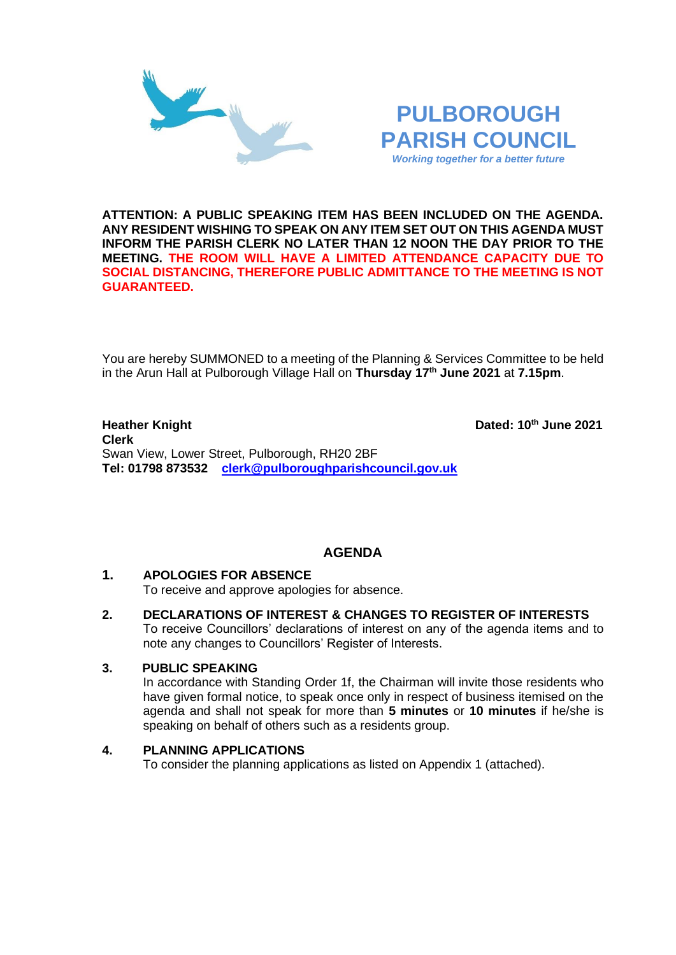

## **PULBOROUGH PARISH COUNCIL** *Working together for a better future*

**ATTENTION: A PUBLIC SPEAKING ITEM HAS BEEN INCLUDED ON THE AGENDA. ANY RESIDENT WISHING TO SPEAK ON ANY ITEM SET OUT ON THIS AGENDA MUST INFORM THE PARISH CLERK NO LATER THAN 12 NOON THE DAY PRIOR TO THE MEETING. THE ROOM WILL HAVE A LIMITED ATTENDANCE CAPACITY DUE TO SOCIAL DISTANCING, THEREFORE PUBLIC ADMITTANCE TO THE MEETING IS NOT GUARANTEED.**

You are hereby SUMMONED to a meeting of the Planning & Services Committee to be held in the Arun Hall at Pulborough Village Hall on **Thursday 17th June 2021** at **7.15pm**.

#### **Heather Knight Dated: 10<sup>th</sup> June 2021 Clerk**  Swan View, Lower Street, Pulborough, RH20 2BF **Tel: 01798 873532 [clerk@pulboroughparishcouncil.gov.uk](mailto:clerk@pulboroughparishcouncil.gov.uk)**

## **AGENDA**

### **1. APOLOGIES FOR ABSENCE**

To receive and approve apologies for absence.

**2. DECLARATIONS OF INTEREST & CHANGES TO REGISTER OF INTERESTS** To receive Councillors' declarations of interest on any of the agenda items and to note any changes to Councillors' Register of Interests.

#### **3. PUBLIC SPEAKING**

In accordance with Standing Order 1f, the Chairman will invite those residents who have given formal notice, to speak once only in respect of business itemised on the agenda and shall not speak for more than **5 minutes** or **10 minutes** if he/she is speaking on behalf of others such as a residents group.

#### **4. PLANNING APPLICATIONS**

To consider the planning applications as listed on Appendix 1 (attached).